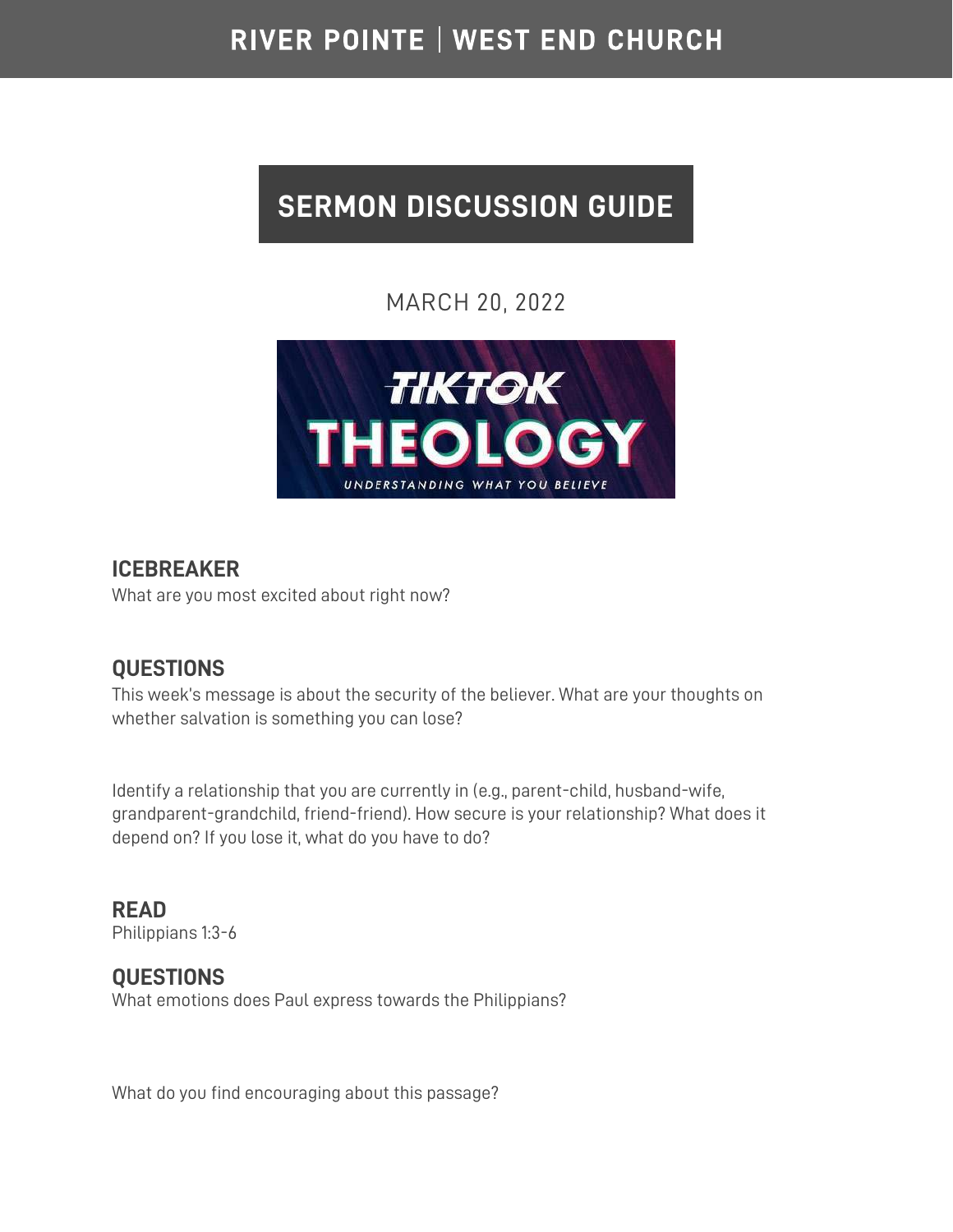## RIVER POINTE | WEST END CHURCH

# **SERMON DISCUSSION GUIDE**

## MARCH 20, 2022



#### **ICEBREAKER**

What are you most excited about right now?

## **QUESTIONS**

This week's message is about the security of the believer. What are your thoughts on whether salvation is something you can lose?

Identify a relationship that you are currently in (e.g., parent-child, husband-wife, grandparent-grandchild, friend-friend). How secure is your relationship? What does it depend on? If you lose it, what do you have to do?

**READ**  Philippians 1:3-6

#### **QUESTIONS** What emotions does Paul express towards the Philippians?

What do you find encouraging about this passage?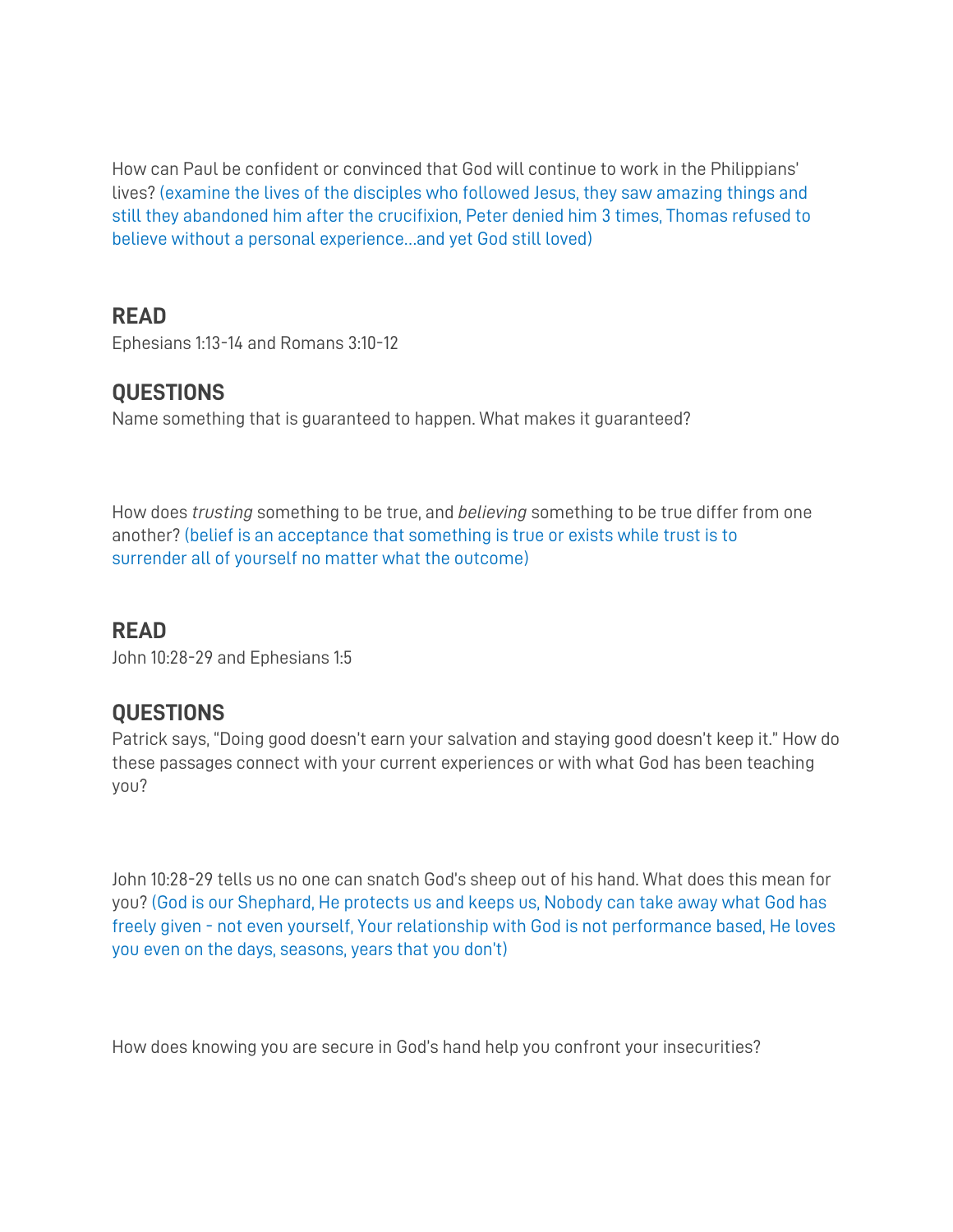How can Paul be confident or convinced that God will continue to work in the Philippians' lives? (examine the lives of the disciples who followed Jesus, they saw amazing things and still they abandoned him after the crucifixion, Peter denied him 3 times, Thomas refused to believe without a personal experience…and yet God still loved)

## **READ**

Ephesians 1:13-14 and Romans 3:10-12

## **QUESTIONS**

Name something that is guaranteed to happen. What makes it guaranteed?

How does *trusting* something to be true, and *believing* something to be true differ from one another? (belief is an acceptance that something is true or exists while trust is to surrender all of yourself no matter what the outcome)

#### **READ**

John 10:28-29 and Ephesians 1:5

## **QUESTIONS**

Patrick says, "Doing good doesn't earn your salvation and staying good doesn't keep it." How do these passages connect with your current experiences or with what God has been teaching you?

John 10:28-29 tells us no one can snatch God's sheep out of his hand. What does this mean for you? (God is our Shephard, He protects us and keeps us, Nobody can take away what God has freely given - not even yourself, Your relationship with God is not performance based, He loves you even on the days, seasons, years that you don't)

How does knowing you are secure in God's hand help you confront your insecurities?